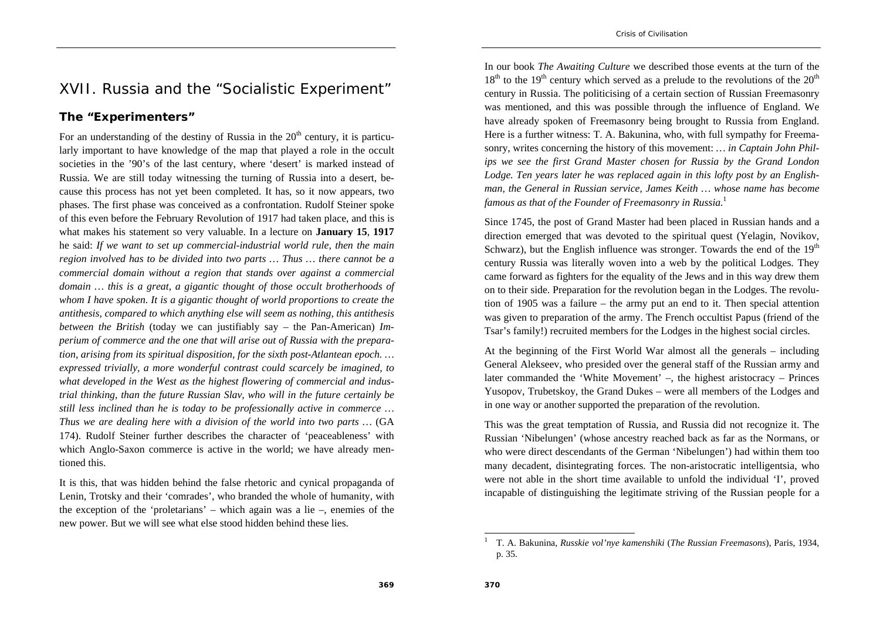# XVII. Russia and the "Socialistic Experiment"

#### **The "Experimenters"**

For an understanding of the destiny of Russia in the  $20<sup>th</sup>$  century, it is particularly important to have knowledge of the map that played a role in the occult societies in the '90's of the last century, where 'desert' is marked instead of Russia. We are still today witnessing the turning of Russia into a desert, because this process has not yet been completed. It has, so it now appears, two phases. The first phase was conceived as a confrontation. Rudolf Steiner spoke of this even before the February Revolution of 1917 had taken place, and this is what makes his statement so very valuable. In a lecture on **January 15**, **1917**  he said: *If we want to set up commercial-industrial world rule, then the main region involved has to be divided into two parts … Thus … there cannot be a commercial domain without a region that stands over against a commercial domain … this is a great, a gigantic thought of those occult brotherhoods of whom I have spoken. It is a gigantic thought of world proportions to create the antithesis, compared to which anything else will seem as nothing, this antithesis between the British* (today we can justifiably say – the Pan-American) *Imperium of commerce and the one that will arise out of Russia with the preparation, arising from its spiritual disposition, for the sixth post-Atlantean epoch. … expressed trivially, a more wonderful contrast could scarcely be imagined, to what developed in the West as the highest flowering of commercial and industrial thinking, than the future Russian Slav, who will in the future certainly be still less inclined than he is today to be professionally active in commerce … Thus we are dealing here with a division of the world into two parts …* (GA 174). Rudolf Steiner further describes the character of 'peaceableness' with which Anglo-Saxon commerce is active in the world; we have already mentioned this.

It is this, that was hidden behind the false rhetoric and cynical propaganda of Lenin, Trotsky and their 'comrades', who branded the whole of humanity, with the exception of the 'proletarians' – which again was a lie –, enemies of the new power. But we will see what else stood hidden behind these lies.

In our book *The Awaiting Culture* we described those events at the turn of the  $18<sup>th</sup>$  to the  $19<sup>th</sup>$  century which served as a prelude to the revolutions of the  $20<sup>th</sup>$ century in Russia. The politicising of a certain section of Russian Freemasonry was mentioned, and this was possible through the influence of England. We have already spoken of Freemasonry being brought to Russia from England. Here is a further witness: T. A. Bakunina, who, with full sympathy for Freemasonry, writes concerning the history of this movement: *… in Captain John Philips we see the first Grand Master chosen for Russia by the Grand London Lodge. Ten years later he was replaced again in this lofty post by an Englishman, the General in Russian service, James Keith … whose name has become famous as that of the Founder of Freemasonry in Russia.*<sup>1</sup>

Since 1745, the post of Grand Master had been placed in Russian hands and a direction emerged that was devoted to the spiritual quest (Yelagin, Novikov, Schwarz), but the English influence was stronger. Towards the end of the  $19<sup>th</sup>$ century Russia was literally woven into a web by the political Lodges. They came forward as fighters for the equality of the Jews and in this way drew them on to their side. Preparation for the revolution began in the Lodges. The revolution of 1905 was a failure – the army put an end to it. Then special attention was given to preparation of the army. The French occultist Papus (friend of the Tsar's family!) recruited members for the Lodges in the highest social circles.

At the beginning of the First World War almost all the generals – including General Alekseev, who presided over the general staff of the Russian army and later commanded the 'White Movement' –, the highest aristocracy – Princes Yusopov, Trubetskoy, the Grand Dukes – were all members of the Lodges and in one way or another supported the preparation of the revolution.

This was the great temptation of Russia, and Russia did not recognize it. The Russian 'Nibelungen' (whose ancestry reached back as far as the Normans, or who were direct descendants of the German 'Nibelungen') had within them too many decadent, disintegrating forces. The non-aristocratic intelligentsia, who were not able in the short time available to unfold the individual 'I', proved incapable of distinguishing the legitimate striving of the Russian people for a

<sup>1</sup> T. A. Bakunina, *Russkie vol'nye kamenshiki* (*The Russian Freemasons*), Paris, 1934, p. 35.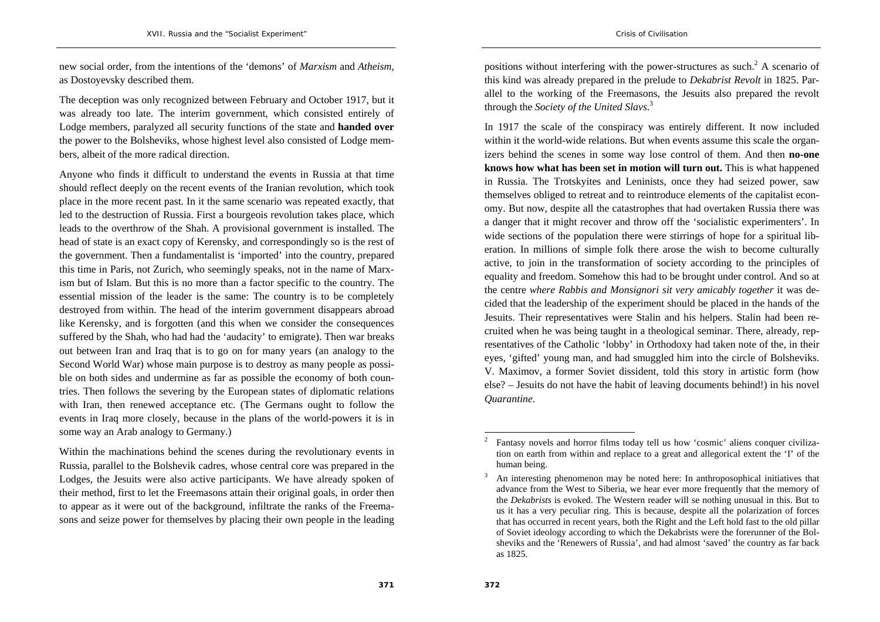new social order, from the intentions of the 'demons' of *Marxism* and *Atheism*, as Dostoyevsky described them.

The deception was only recognized between February and October 1917, but it was already too late. The interim government, which consisted entirely of Lodge members, paralyzed all security functions of the state and **handed over**  the power to the Bolsheviks, whose highest level also consisted of Lodge members, albeit of the more radical direction.

Anyone who finds it difficult to understand the events in Russia at that time should reflect deeply on the recent events of the Iranian revolution, which took place in the more recent past. In it the same scenario was repeated exactly, that led to the destruction of Russia. First a bourgeois revolution takes place, which leads to the overthrow of the Shah. A provisional government is installed. The head of state is an exact copy of Kerensky, and correspondingly so is the rest of the government. Then a fundamentalist is 'imported' into the country, prepared this time in Paris, not Zurich, who seemingly speaks, not in the name of Marxism but of Islam. But this is no more than a factor specific to the country. The essential mission of the leader is the same: The country is to be completely destroyed from within. The head of the interim government disappears abroad like Kerensky, and is forgotten (and this when we consider the consequences suffered by the Shah, who had had the 'audacity' to emigrate). Then war breaks out between Iran and Iraq that is to go on for many years (an analogy to the Second World War) whose main purpose is to destroy as many people as possible on both sides and undermine as far as possible the economy of both countries. Then follows the severing by the European states of diplomatic relations with Iran, then renewed acceptance etc. (The Germans ought to follow the events in Iraq more closely, because in the plans of the world-powers it is in some way an Arab analogy to Germany.)

Within the machinations behind the scenes during the revolutionary events in Russia, parallel to the Bolshevik cadres, whose central core was prepared in the Lodges, the Jesuits were also active participants. We have already spoken of their method, first to let the Freemasons attain their original goals, in order then to appear as it were out of the background, infiltrate the ranks of the Freemasons and seize power for themselves by placing their own people in the leading

positions without interfering with the power-structures as such.2 A scenario of this kind was already prepared in the prelude to *Dekabrist Revolt* in 1825. Parallel to the working of the Freemasons, the Jesuits also prepared the revolt through the *Society of the United Slavs*. 3

In 1917 the scale of the conspiracy was entirely different. It now included within it the world-wide relations. But when events assume this scale the organizers behind the scenes in some way lose control of them. And then **no-one knows how what has been set in motion will turn out.** This is what happened in Russia. The Trotskyites and Leninists, once they had seized power, saw themselves obliged to retreat and to reintroduce elements of the capitalist economy. But now, despite all the catastrophes that had overtaken Russia there was a danger that it might recover and throw off the 'socialistic experimenters'. In wide sections of the population there were stirrings of hope for a spiritual liberation. In millions of simple folk there arose the wish to become culturally active, to join in the transformation of society according to the principles of equality and freedom. Somehow this had to be brought under control. And so at the centre *where Rabbis and Monsignori sit very amicably together* it was decided that the leadership of the experiment should be placed in the hands of the Jesuits. Their representatives were Stalin and his helpers. Stalin had been recruited when he was being taught in a theological seminar. There, already, representatives of the Catholic 'lobby' in Orthodoxy had taken note of the, in their eyes, 'gifted' young man, and had smuggled him into the circle of Bolsheviks. V. Maximov, a former Soviet dissident, told this story in artistic form (how else? – Jesuits do not have the habit of leaving documents behind!) in his novel *Quarantine*.

<sup>2</sup> Fantasy novels and horror films today tell us how 'cosmic' aliens conquer civilization on earth from within and replace to a great and allegorical extent the 'I' of the human being.

<sup>3</sup> An interesting phenomenon may be noted here: In anthroposophical initiatives that advance from the West to Siberia, we hear ever more frequently that the memory of the *Dekabrists* is evoked. The Western reader will se nothing unusual in this. But to us it has a very peculiar ring. This is because, despite all the polarization of forces that has occurred in recent years, both the Right and the Left hold fast to the old pillar of Soviet ideology according to which the Dekabrists were the forerunner of the Bolsheviks and the 'Renewers of Russia', and had almost 'saved' the country as far back as 1825.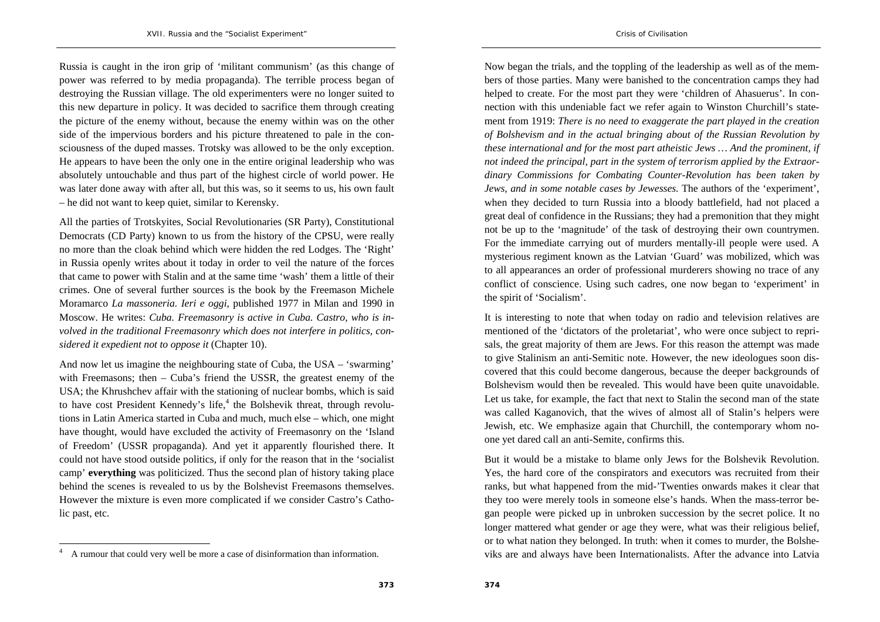Russia is caught in the iron grip of 'militant communism' (as this change of power was referred to by media propaganda). The terrible process began of destroying the Russian village. The old experimenters were no longer suited to this new departure in policy. It was decided to sacrifice them through creating the picture of the enemy without, because the enemy within was on the other side of the impervious borders and his picture threatened to pale in the consciousness of the duped masses. Trotsky was allowed to be the only exception.

He appears to have been the only one in the entire original leadership who was absolutely untouchable and thus part of the highest circle of world power. He was later done away with after all, but this was, so it seems to us, his own fault – he did not want to keep quiet, similar to Kerensky.

All the parties of Trotskyites, Social Revolutionaries (SR Party), Constitutional Democrats (CD Party) known to us from the history of the CPSU, were really no more than the cloak behind which were hidden the red Lodges. The 'Right' in Russia openly writes about it today in order to veil the nature of the forces that came to power with Stalin and at the same time 'wash' them a little of their crimes. One of several further sources is the book by the Freemason Michele Moramarco *La massoneria. Ieri e oggi*, published 1977 in Milan and 1990 in Moscow. He writes: *Cuba. Freemasonry is active in Cuba. Castro, who is involved in the traditional Freemasonry which does not interfere in politics, considered it expedient not to oppose it* (Chapter 10).

And now let us imagine the neighbouring state of Cuba, the USA – 'swarming' with Freemasons; then – Cuba's friend the USSR, the greatest enemy of the USA; the Khrushchev affair with the stationing of nuclear bombs, which is said to have cost President Kennedy's life, $4$  the Bolshevik threat, through revolutions in Latin America started in Cuba and much, much else – which, one might have thought, would have excluded the activity of Freemasonry on the 'Island of Freedom' (USSR propaganda). And yet it apparently flourished there. It could not have stood outside politics, if only for the reason that in the 'socialist camp' **everything** was politicized. Thus the second plan of history taking place behind the scenes is revealed to us by the Bolshevist Freemasons themselves. However the mixture is even more complicated if we consider Castro's Catholic past, etc.

Now began the trials, and the toppling of the leadership as well as of the members of those parties. Many were banished to the concentration camps they had helped to create. For the most part they were 'children of Ahasuerus'. In connection with this undeniable fact we refer again to Winston Churchill's statement from 1919: *There is no need to exaggerate the part played in the creation of Bolshevism and in the actual bringing about of the Russian Revolution by these international and for the most part atheistic Jews … And the prominent, if not indeed the principal, part in the system of terrorism applied by the Extraordinary Commissions for Combating Counter-Revolution has been taken by Jews, and in some notable cases by Jewesses.* The authors of the 'experiment', when they decided to turn Russia into a bloody battlefield, had not placed a great deal of confidence in the Russians; they had a premonition that they might not be up to the 'magnitude' of the task of destroying their own countrymen. For the immediate carrying out of murders mentally-ill people were used. A mysterious regiment known as the Latvian 'Guard' was mobilized, which was to all appearances an order of professional murderers showing no trace of any conflict of conscience. Using such cadres, one now began to 'experiment' in the spirit of 'Socialism'.

It is interesting to note that when today on radio and television relatives are mentioned of the 'dictators of the proletariat', who were once subject to reprisals, the great majority of them are Jews. For this reason the attempt was made to give Stalinism an anti-Semitic note. However, the new ideologues soon discovered that this could become dangerous, because the deeper backgrounds of Bolshevism would then be revealed. This would have been quite unavoidable. Let us take, for example, the fact that next to Stalin the second man of the state was called Kaganovich, that the wives of almost all of Stalin's helpers were Jewish, etc. We emphasize again that Churchill, the contemporary whom noone yet dared call an anti-Semite, confirms this.

But it would be a mistake to blame only Jews for the Bolshevik Revolution. Yes, the hard core of the conspirators and executors was recruited from their ranks, but what happened from the mid-'Twenties onwards makes it clear that they too were merely tools in someone else's hands. When the mass-terror began people were picked up in unbroken succession by the secret police. It no longer mattered what gender or age they were, what was their religious belief, or to what nation they belonged. In truth: when it comes to murder, the Bolsheviks are and always have been Internationalists. After the advance into Latvia

<sup>4</sup> A rumour that could very well be more a case of disinformation than information.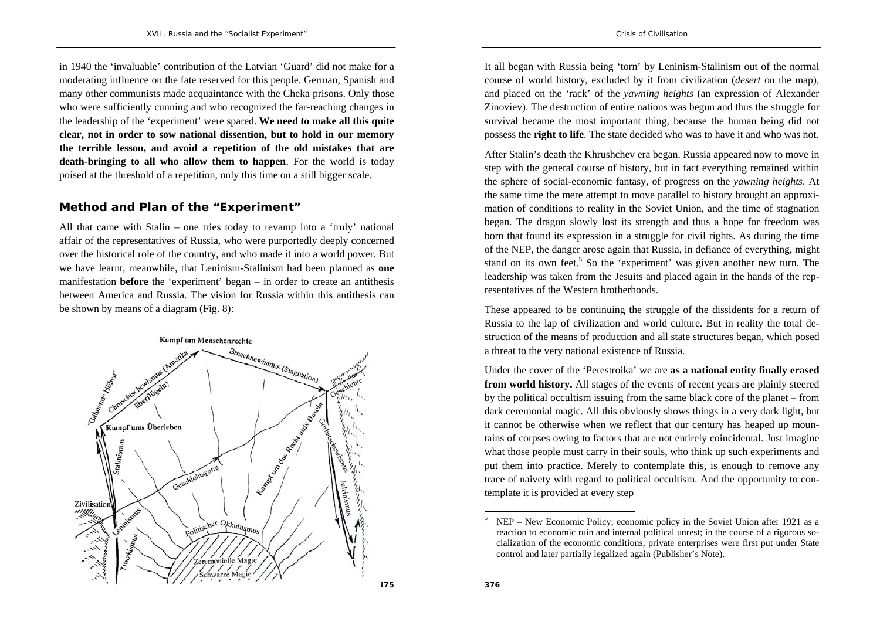in 1940 the 'invaluable' contribution of the Latvian 'Guard' did not make for a moderating influence on the fate reserved for this people. German, Spanish and many other communists made acquaintance with the Cheka prisons. Only those who were sufficiently cunning and who recognized the far-reaching changes in the leadership of the 'experiment' were spared. **We need to make all this quite clear, not in order to sow national dissention, but to hold in our memory the terrible lesson, and avoid a repetition of the old mistakes that are death-bringing to all who allow them to happen**. For the world is today poised at the threshold of a repetition, only this time on a still bigger scale.

#### **Method and Plan of the "Experiment"**

All that came with Stalin – one tries today to revamp into a 'truly' national affair of the representatives of Russia, who were purportedly deeply concerned over the historical role of the country, and who made it into a world power. But we have learnt, meanwhile, that Leninism-Stalinism had been planned as **one** manifestation **before** the 'experiment' began – in order to create an antithesis between America and Russia. The vision for Russia within this antithesis can be shown by means of a diagram (Fig. 8):



It all began with Russia being 'torn' by Leninism-Stalinism out of the normal course of world history, excluded by it from civilization (*desert* on the map), and placed on the 'rack' of the *yawning heights* (an expression of Alexander Zinoviev). The destruction of entire nations was begun and thus the struggle for survival became the most important thing, because the human being did not possess the **right to life**. The state decided who was to have it and who was not.

After Stalin's death the Khrushchev era began. Russia appeared now to move in step with the general course of history, but in fact everything remained within the sphere of social-economic fantasy, of progress on the *yawning heights*. At the same time the mere attempt to move parallel to history brought an approximation of conditions to reality in the Soviet Union, and the time of stagnation began. The dragon slowly lost its strength and thus a hope for freedom was born that found its expression in a struggle for civil rights. As during the time of the NEP, the danger arose again that Russia, in defiance of everything, might stand on its own feet.<sup>5</sup> So the 'experiment' was given another new turn. The leadership was taken from the Jesuits and placed again in the hands of the representatives of the Western brotherhoods.

These appeared to be continuing the struggle of the dissidents for a return of Russia to the lap of civilization and world culture. But in reality the total destruction of the means of production and all state structures began, which posed a threat to the very national existence of Russia.

Under the cover of the 'Perestroika' we are **as a national entity finally erased from world history.** All stages of the events of recent years are plainly steered by the political occultism issuing from the same black core of the planet – from dark ceremonial magic. All this obviously shows things in a very dark light, but it cannot be otherwise when we reflect that our century has heaped up mountains of corpses owing to factors that are not entirely coincidental. Just imagine what those people must carry in their souls, who think up such experiments and put them into practice. Merely to contemplate this, is enough to remove any trace of naivety with regard to political occultism. And the opportunity to contemplate it is provided at every step

NEP – New Economic Policy; economic policy in the Soviet Union after 1921 as a reaction to economic ruin and internal political unrest; in the course of a rigorous socialization of the economic conditions, private enterprises were first put under State control and later partially legalized again (Publisher's Note).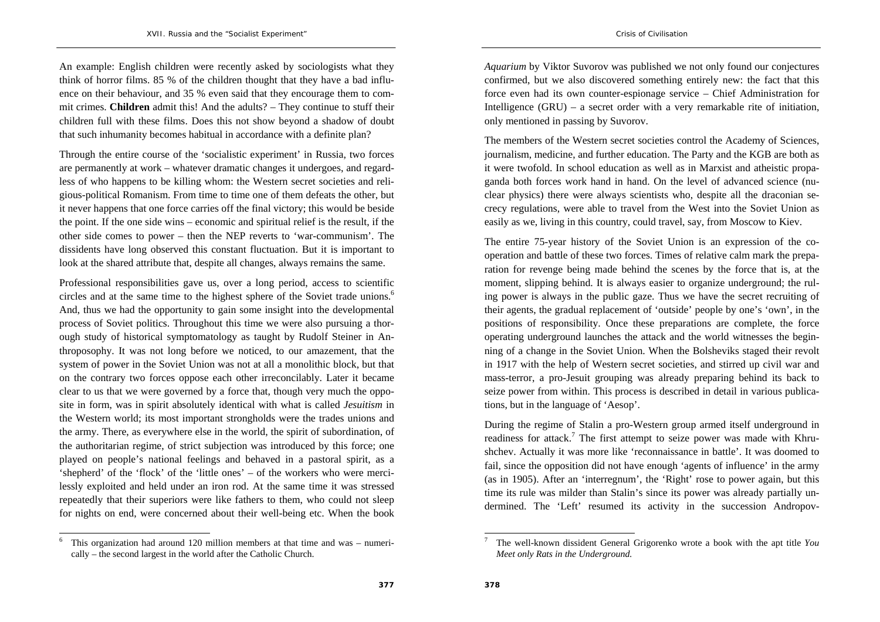An example: English children were recently asked by sociologists what they think of horror films. 85 % of the children thought that they have a bad influence on their behaviour, and 35 % even said that they encourage them to commit crimes. **Children** admit this! And the adults? – They continue to stuff their children full with these films. Does this not show beyond a shadow of doubt that such inhumanity becomes habitual in accordance with a definite plan?

Through the entire course of the 'socialistic experiment' in Russia, two forces are permanently at work – whatever dramatic changes it undergoes, and regardless of who happens to be killing whom: the Western secret societies and religious-political Romanism. From time to time one of them defeats the other, but it never happens that one force carries off the final victory; this would be beside the point. If the one side wins – economic and spiritual relief is the result, if the other side comes to power – then the NEP reverts to 'war-communism'. The dissidents have long observed this constant fluctuation. But it is important to look at the shared attribute that, despite all changes, always remains the same.

Professional responsibilities gave us, over a long period, access to scientific circles and at the same time to the highest sphere of the Soviet trade unions.<sup>6</sup> And, thus we had the opportunity to gain some insight into the developmental process of Soviet politics. Throughout this time we were also pursuing a thorough study of historical symptomatology as taught by Rudolf Steiner in Anthroposophy. It was not long before we noticed, to our amazement, that the system of power in the Soviet Union was not at all a monolithic block, but that on the contrary two forces oppose each other irreconcilably. Later it became clear to us that we were governed by a force that, though very much the opposite in form, was in spirit absolutely identical with what is called *Jesuitism* in the Western world; its most important strongholds were the trades unions and the army. There, as everywhere else in the world, the spirit of subordination, of the authoritarian regime, of strict subjection was introduced by this force; one played on people's national feelings and behaved in a pastoral spirit, as a 'shepherd' of the 'flock' of the 'little ones' – of the workers who were mercilessly exploited and held under an iron rod. At the same time it was stressed repeatedly that their superiors were like fathers to them, who could not sleep for nights on end, were concerned about their well-being etc. When the book

6 This organization had around 120 million members at that time and was – numerically – the second largest in the world after the Catholic Church.

*Aquarium* by Viktor Suvorov was published we not only found our conjectures confirmed, but we also discovered something entirely new: the fact that this force even had its own counter-espionage service – Chief Administration for Intelligence (GRU) – a secret order with a very remarkable rite of initiation, only mentioned in passing by Suvorov.

The members of the Western secret societies control the Academy of Sciences, journalism, medicine, and further education. The Party and the KGB are both as it were twofold. In school education as well as in Marxist and atheistic propaganda both forces work hand in hand. On the level of advanced science (nuclear physics) there were always scientists who, despite all the draconian secrecy regulations, were able to travel from the West into the Soviet Union as easily as we, living in this country, could travel, say, from Moscow to Kiev.

The entire 75-year history of the Soviet Union is an expression of the cooperation and battle of these two forces. Times of relative calm mark the preparation for revenge being made behind the scenes by the force that is, at the moment, slipping behind. It is always easier to organize underground; the ruling power is always in the public gaze. Thus we have the secret recruiting of their agents, the gradual replacement of 'outside' people by one's 'own', in the positions of responsibility. Once these preparations are complete, the force operating underground launches the attack and the world witnesses the beginning of a change in the Soviet Union. When the Bolsheviks staged their revolt in 1917 with the help of Western secret societies, and stirred up civil war and mass-terror, a pro-Jesuit grouping was already preparing behind its back to seize power from within. This process is described in detail in various publications, but in the language of 'Aesop'.

During the regime of Stalin a pro-Western group armed itself underground in readiness for attack.<sup>7</sup> The first attempt to seize power was made with Khrushchev. Actually it was more like 'reconnaissance in battle'. It was doomed to fail, since the opposition did not have enough 'agents of influence' in the army (as in 1905). After an 'interregnum', the 'Right' rose to power again, but this time its rule was milder than Stalin's since its power was already partially undermined. The 'Left' resumed its activity in the succession Andropov-

<sup>7</sup> The well-known dissident General Grigorenko wrote a book with the apt title *You Meet only Rats in the Underground.*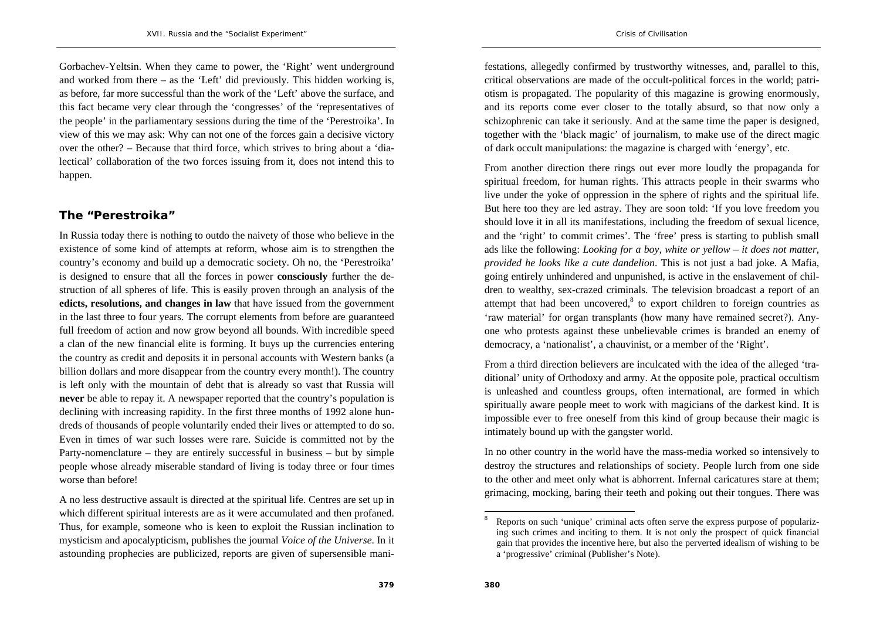Gorbachev-Yeltsin. When they came to power, the 'Right' went underground and worked from there – as the 'Left' did previously. This hidden working is, as before, far more successful than the work of the 'Left' above the surface, and this fact became very clear through the 'congresses' of the 'representatives of the people' in the parliamentary sessions during the time of the 'Perestroika'. In view of this we may ask: Why can not one of the forces gain a decisive victory over the other? – Because that third force, which strives to bring about a 'dialectical' collaboration of the two forces issuing from it, does not intend this to happen.

### **The "Perestroika"**

In Russia today there is nothing to outdo the naivety of those who believe in the existence of some kind of attempts at reform, whose aim is to strengthen the country's economy and build up a democratic society. Oh no, the 'Perestroika' is designed to ensure that all the forces in power **consciously** further the destruction of all spheres of life. This is easily proven through an analysis of the **edicts, resolutions, and changes in law** that have issued from the government in the last three to four years. The corrupt elements from before are guaranteed full freedom of action and now grow beyond all bounds. With incredible speed a clan of the new financial elite is forming. It buys up the currencies entering the country as credit and deposits it in personal accounts with Western banks (a billion dollars and more disappear from the country every month!). The country is left only with the mountain of debt that is already so vast that Russia will **never** be able to repay it. A newspaper reported that the country's population is declining with increasing rapidity. In the first three months of 1992 alone hundreds of thousands of people voluntarily ended their lives or attempted to do so. Even in times of war such losses were rare. Suicide is committed not by the Party-nomenclature – they are entirely successful in business – but by simple people whose already miserable standard of living is today three or four times worse than before!

A no less destructive assault is directed at the spiritual life. Centres are set up in which different spiritual interests are as it were accumulated and then profaned. Thus, for example, someone who is keen to exploit the Russian inclination to mysticism and apocalypticism, publishes the journal *Voice of the Universe*. In it astounding prophecies are publicized, reports are given of supersensible manifestations, allegedly confirmed by trustworthy witnesses, and, parallel to this, critical observations are made of the occult-political forces in the world; patriotism is propagated. The popularity of this magazine is growing enormously, and its reports come ever closer to the totally absurd, so that now only a schizophrenic can take it seriously. And at the same time the paper is designed, together with the 'black magic' of journalism, to make use of the direct magic of dark occult manipulations: the magazine is charged with 'energy', etc.

*Crisis of Civilisation* 

From another direction there rings out ever more loudly the propaganda for spiritual freedom, for human rights. This attracts people in their swarms who live under the yoke of oppression in the sphere of rights and the spiritual life. But here too they are led astray. They are soon told: 'If you love freedom you should love it in all its manifestations, including the freedom of sexual licence, and the 'right' to commit crimes'. The 'free' press is starting to publish small ads like the following: *Looking for a boy, white or yellow – it does not matter, provided he looks like a cute dandelion*. This is not just a bad joke. A Mafia, going entirely unhindered and unpunished, is active in the enslavement of children to wealthy, sex-crazed criminals. The television broadcast a report of an attempt that had been uncovered, $8$  to export children to foreign countries as 'raw material' for organ transplants (how many have remained secret?). Anyone who protests against these unbelievable crimes is branded an enemy of democracy, a 'nationalist', a chauvinist, or a member of the 'Right'.

From a third direction believers are inculcated with the idea of the alleged 'traditional' unity of Orthodoxy and army. At the opposite pole, practical occultism is unleashed and countless groups, often international, are formed in which spiritually aware people meet to work with magicians of the darkest kind. It is impossible ever to free oneself from this kind of group because their magic is intimately bound up with the gangster world.

In no other country in the world have the mass-media worked so intensively to destroy the structures and relationships of society. People lurch from one side to the other and meet only what is abhorrent. Infernal caricatures stare at them; grimacing, mocking, baring their teeth and poking out their tongues. There was

<sup>8</sup> Reports on such 'unique' criminal acts often serve the express purpose of popularizing such crimes and inciting to them. It is not only the prospect of quick financial gain that provides the incentive here, but also the perverted idealism of wishing to be a 'progressive' criminal (Publisher's Note).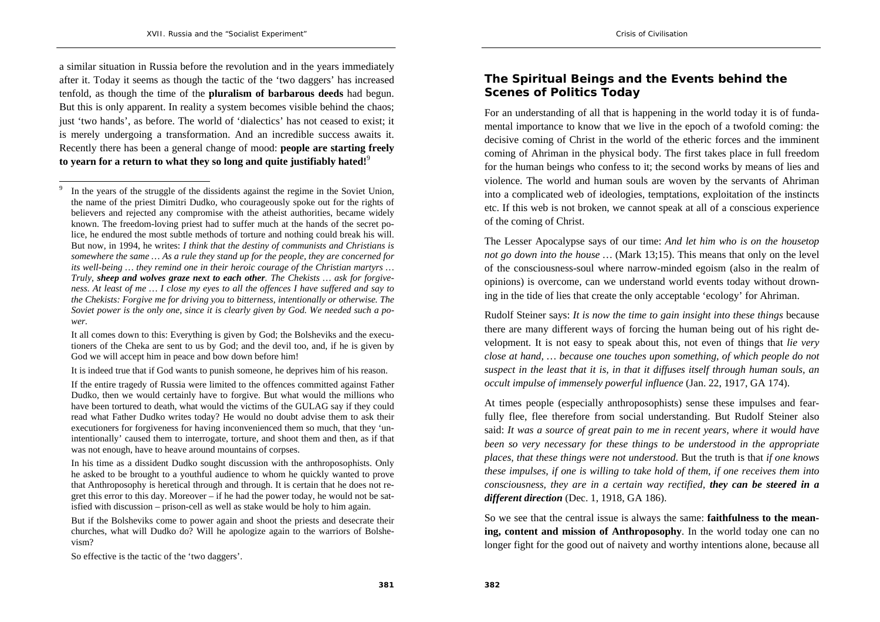a similar situation in Russia before the revolution and in the years immediately after it. Today it seems as though the tactic of the 'two daggers' has increased tenfold, as though the time of the **pluralism of barbarous deeds** had begun. But this is only apparent. In reality a system becomes visible behind the chaos; just 'two hands', as before. The world of 'dialectics' has not ceased to exist; it is merely undergoing a transformation. And an incredible success awaits it. Recently there has been a general change of mood: **people are starting freely to yearn for a return to what they so long and quite justifiably hated!**<sup>9</sup>

It all comes down to this: Everything is given by God; the Bolsheviks and the executioners of the Cheka are sent to us by God; and the devil too, and, if he is given by God we will accept him in peace and bow down before him!

It is indeed true that if God wants to punish someone, he deprives him of his reason.

 If the entire tragedy of Russia were limited to the offences committed against Father Dudko, then we would certainly have to forgive. But what would the millions who have been tortured to death, what would the victims of the GULAG say if they could read what Father Dudko writes today? He would no doubt advise them to ask their executioners for forgiveness for having inconvenienced them so much, that they 'unintentionally' caused them to interrogate, torture, and shoot them and then, as if that was not enough, have to heave around mountains of corpses.

 In his time as a dissident Dudko sought discussion with the anthroposophists. Only he asked to be brought to a youthful audience to whom he quickly wanted to prove that Anthroposophy is heretical through and through. It is certain that he does not regret this error to this day. Moreover  $-$  if he had the power today, he would not be satisfied with discussion – prison-cell as well as stake would be holy to him again.

 But if the Bolsheviks come to power again and shoot the priests and desecrate their churches, what will Dudko do? Will he apologize again to the warriors of Bolshevism?

So effective is the tactic of the 'two daggers'.

### **The Spiritual Beings and the Events behind the Scenes of Politics Today**

For an understanding of all that is happening in the world today it is of fundamental importance to know that we live in the epoch of a twofold coming: the decisive coming of Christ in the world of the etheric forces and the imminent coming of Ahriman in the physical body. The first takes place in full freedom for the human beings who confess to it; the second works by means of lies and violence. The world and human souls are woven by the servants of Ahriman into a complicated web of ideologies, temptations, exploitation of the instincts etc. If this web is not broken, we cannot speak at all of a conscious experience of the coming of Christ.

The Lesser Apocalypse says of our time: *And let him who is on the housetop not go down into the house* ... (Mark 13:15). This means that only on the level of the consciousness-soul where narrow-minded egoism (also in the realm of opinions) is overcome, can we understand world events today without drowning in the tide of lies that create the only acceptable 'ecology' for Ahriman.

Rudolf Steiner says: *It is now the time to gain insight into these things* because there are many different ways of forcing the human being out of his right development. It is not easy to speak about this, not even of things that *lie very close at hand, … because one touches upon something, of which people do not suspect in the least that it is, in that it diffuses itself through human souls, an occult impulse of immensely powerful influence* (Jan. 22, 1917, GA 174).

At times people (especially anthroposophists) sense these impulses and fearfully flee, flee therefore from social understanding. But Rudolf Steiner also said: *It was a source of great pain to me in recent years, where it would have been so very necessary for these things to be understood in the appropriate places, that these things were not understood*. But the truth is that *if one knows these impulses, if one is willing to take hold of them, if one receives them into consciousness, they are in a certain way rectified, they can be steered in a different direction* (Dec. 1, 1918, GA 186).

So we see that the central issue is always the same: **faithfulness to the meaning, content and mission of Anthroposophy**. In the world today one can no longer fight for the good out of naivety and worthy intentions alone, because all

**381**

In the years of the struggle of the dissidents against the regime in the Soviet Union, the name of the priest Dimitri Dudko, who courageously spoke out for the rights of believers and rejected any compromise with the atheist authorities, became widely known. The freedom-loving priest had to suffer much at the hands of the secret police, he endured the most subtle methods of torture and nothing could break his will. But now, in 1994, he writes: *I think that the destiny of communists and Christians is somewhere the same … As a rule they stand up for the people, they are concerned for its well-being … they remind one in their heroic courage of the Christian martyrs … Truly, sheep and wolves graze next to each other. The Chekists … ask for forgiveness. At least of me … I close my eyes to all the offences I have suffered and say to the Chekists: Forgive me for driving you to bitterness, intentionally or otherwise. The Soviet power is the only one, since it is clearly given by God. We needed such a power.*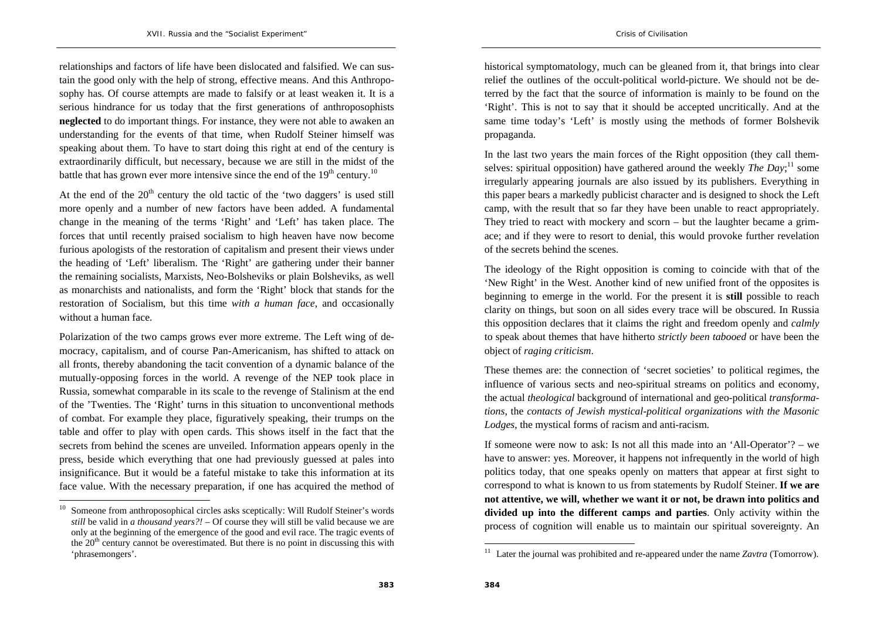relationships and factors of life have been dislocated and falsified. We can sustain the good only with the help of strong, effective means. And this Anthroposophy has. Of course attempts are made to falsify or at least weaken it. It is a serious hindrance for us today that the first generations of anthroposophists **neglected** to do important things. For instance, they were not able to awaken an understanding for the events of that time, when Rudolf Steiner himself was speaking about them. To have to start doing this right at end of the century is extraordinarily difficult, but necessary, because we are still in the midst of the battle that has grown ever more intensive since the end of the  $19<sup>th</sup>$  century.<sup>10</sup>

At the end of the  $20<sup>th</sup>$  century the old tactic of the 'two daggers' is used still more openly and a number of new factors have been added. A fundamental change in the meaning of the terms 'Right' and 'Left' has taken place. The forces that until recently praised socialism to high heaven have now become furious apologists of the restoration of capitalism and present their views under the heading of 'Left' liberalism. The 'Right' are gathering under their banner the remaining socialists, Marxists, Neo-Bolsheviks or plain Bolsheviks, as well as monarchists and nationalists, and form the 'Right' block that stands for the restoration of Socialism, but this time *with a human face*, and occasionally without a human face.

Polarization of the two camps grows ever more extreme. The Left wing of democracy, capitalism, and of course Pan-Americanism, has shifted to attack on all fronts, thereby abandoning the tacit convention of a dynamic balance of the mutually-opposing forces in the world. A revenge of the NEP took place in Russia, somewhat comparable in its scale to the revenge of Stalinism at the end of the 'Twenties. The 'Right' turns in this situation to unconventional methods of combat. For example they place, figuratively speaking, their trumps on the table and offer to play with open cards. This shows itself in the fact that the secrets from behind the scenes are unveiled. Information appears openly in the press, beside which everything that one had previously guessed at pales into insignificance. But it would be a fateful mistake to take this information at its face value. With the necessary preparation, if one has acquired the method of

historical symptomatology, much can be gleaned from it, that brings into clear relief the outlines of the occult-political world-picture. We should not be deterred by the fact that the source of information is mainly to be found on the 'Right'. This is not to say that it should be accepted uncritically. And at the same time today's 'Left' is mostly using the methods of former Bolshevik propaganda.

In the last two years the main forces of the Right opposition (they call themselves: spiritual opposition) have gathered around the weekly *The Day*;<sup>11</sup> some irregularly appearing journals are also issued by its publishers. Everything in this paper bears a markedly publicist character and is designed to shock the Left camp, with the result that so far they have been unable to react appropriately. They tried to react with mockery and scorn – but the laughter became a grimace; and if they were to resort to denial, this would provoke further revelation of the secrets behind the scenes.

The ideology of the Right opposition is coming to coincide with that of the 'New Right' in the West. Another kind of new unified front of the opposites is beginning to emerge in the world. For the present it is **still** possible to reach clarity on things, but soon on all sides every trace will be obscured. In Russia this opposition declares that it claims the right and freedom openly and *calmly*  to speak about themes that have hitherto *strictly been tabooed* or have been the object of *raging criticism*.

These themes are: the connection of 'secret societies' to political regimes, the influence of various sects and neo-spiritual streams on politics and economy, the actual *theological* background of international and geo-political *transformations*, the *contacts of Jewish mystical-political organizations with the Masonic Lodges*, the mystical forms of racism and anti-racism.

If someone were now to ask: Is not all this made into an 'All-Operator'? – we have to answer: yes. Moreover, it happens not infrequently in the world of high politics today, that one speaks openly on matters that appear at first sight to correspond to what is known to us from statements by Rudolf Steiner. **If we are not attentive, we will, whether we want it or not, be drawn into politics and divided up into the different camps and parties**. Only activity within the process of cognition will enable us to maintain our spiritual sovereignty. An

 $10$  Someone from anthroposophical circles asks sceptically: Will Rudolf Steiner's words *still* be valid in *a thousand years?!* – Of course they will still be valid because we are only at the beginning of the emergence of the good and evil race. The tragic events of the  $20<sup>th</sup>$  century cannot be overestimated. But there is no point in discussing this with 'phrasemongers'.

<sup>&</sup>lt;sup>11</sup> Later the journal was prohibited and re-appeared under the name *Zavtra* (Tomorrow).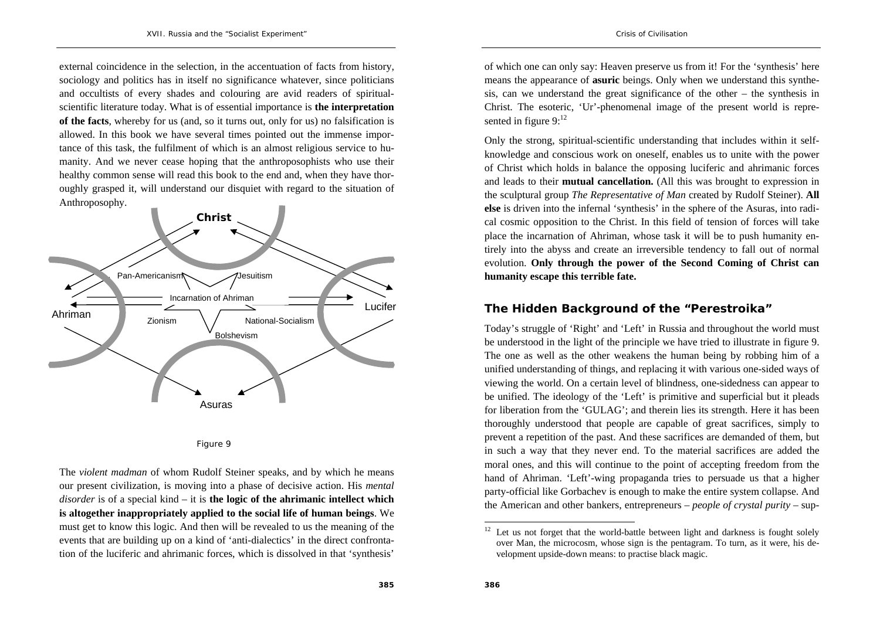external coincidence in the selection, in the accentuation of facts from history, sociology and politics has in itself no significance whatever, since politicians and occultists of every shades and colouring are avid readers of spiritualscientific literature today. What is of essential importance is **the interpretation of the facts**, whereby for us (and, so it turns out, only for us) no falsification is allowed. In this book we have several times pointed out the immense importance of this task, the fulfilment of which is an almost religious service to humanity. And we never cease hoping that the anthroposophists who use their healthy common sense will read this book to the end and, when they have thoroughly grasped it, will understand our disquiet with regard to the situation of Anthroposophy.





The *violent madman* of whom Rudolf Steiner speaks, and by which he means our present civilization, is moving into a phase of decisive action. His *mental disorder* is of a special kind – it is **the logic of the ahrimanic intellect which is altogether inappropriately applied to the social life of human beings**. We must get to know this logic. And then will be revealed to us the meaning of the events that are building up on a kind of 'anti-dialectics' in the direct confrontation of the luciferic and ahrimanic forces, which is dissolved in that 'synthesis'

of which one can only say: Heaven preserve us from it! For the 'synthesis' here means the appearance of **asuric** beings. Only when we understand this synthesis, can we understand the great significance of the other – the synthesis in Christ. The esoteric, 'Ur'-phenomenal image of the present world is represented in figure  $9:^{12}$ 

Only the strong, spiritual-scientific understanding that includes within it selfknowledge and conscious work on oneself, enables us to unite with the power of Christ which holds in balance the opposing luciferic and ahrimanic forces and leads to their **mutual cancellation.** (All this was brought to expression in the sculptural group *The Representative of Man* created by Rudolf Steiner). **All else** is driven into the infernal 'synthesis' in the sphere of the Asuras, into radical cosmic opposition to the Christ. In this field of tension of forces will take place the incarnation of Ahriman, whose task it will be to push humanity entirely into the abyss and create an irreversible tendency to fall out of normal evolution. **Only through the power of the Second Coming of Christ can humanity escape this terrible fate.** 

### **The Hidden Background of the "Perestroika"**

Today's struggle of 'Right' and 'Left' in Russia and throughout the world must be understood in the light of the principle we have tried to illustrate in figure 9. The one as well as the other weakens the human being by robbing him of a unified understanding of things, and replacing it with various one-sided ways of viewing the world. On a certain level of blindness, one-sidedness can appear to be unified. The ideology of the 'Left' is primitive and superficial but it pleads for liberation from the 'GULAG'; and therein lies its strength. Here it has been thoroughly understood that people are capable of great sacrifices, simply to prevent a repetition of the past. And these sacrifices are demanded of them, but in such a way that they never end. To the material sacrifices are added the moral ones, and this will continue to the point of accepting freedom from the hand of Ahriman. 'Left'-wing propaganda tries to persuade us that a higher party-official like Gorbachev is enough to make the entire system collapse. And the American and other bankers, entrepreneurs – *people of crystal purity* – sup-

 $12$  Let us not forget that the world-battle between light and darkness is fought solely over Man, the microcosm, whose sign is the pentagram. To turn, as it were, his development upside-down means: to practise black magic.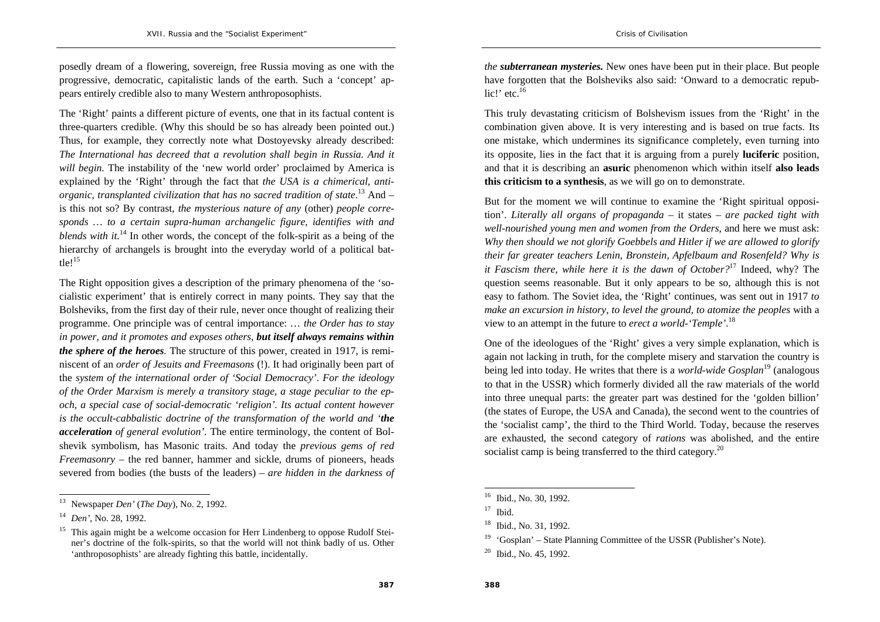posedly dream of a flowering, sovereign, free Russia moving as one with the progressive, democratic, capitalistic lands of the earth. Such a 'concept' appears entirely credible also to many Western anthroposophists.

The 'Right' paints a different picture of events, one that in its factual content is three-quarters credible. (Why this should be so has already been pointed out.) Thus, for example, they correctly note what Dostoyevsky already described: *The International has decreed that a revolution shall begin in Russia. And it will begin.* The instability of the 'new world order' proclaimed by America is explained by the 'Right' through the fact that *the USA is a chimerical, antiorganic, transplanted civilization that has no sacred tradition of state.*13 And – is this not so? By contrast, *the mysterious nature of any* (other) *people corresponds … to a certain supra-human archangelic figure, identifies with and blends with it.*14 In other words, the concept of the folk-spirit as a being of the hierarchy of archangels is brought into the everyday world of a political battle! $15$ 

The Right opposition gives a description of the primary phenomena of the 'socialistic experiment' that is entirely correct in many points. They say that the Bolsheviks, from the first day of their rule, never once thought of realizing their programme. One principle was of central importance: … *the Order has to stay in power, and it promotes and exposes others, but itself always remains within the sphere of the heroes.* The structure of this power, created in 1917, is reminiscent of an *order of Jesuits and Freemasons* (!). It had originally been part of the *system of the international order of 'Social Democracy'*. *For the ideology of the Order Marxism is merely a transitory stage, a stage peculiar to the epoch, a special case of social-democratic 'religion'. Its actual content however is the occult-cabbalistic doctrine of the transformation of the world and 'the acceleration of general evolution'.* The entire terminology, the content of Bolshevik symbolism, has Masonic traits. And today the *previous gems of red Freemasonry* – the red banner, hammer and sickle, drums of pioneers, heads severed from bodies (the busts of the leaders) – *are hidden in the darkness of*  *the subterranean mysteries.* New ones have been put in their place. But people have forgotten that the Bolsheviks also said: 'Onward to a democratic republic!' etc. $16$ 

This truly devastating criticism of Bolshevism issues from the 'Right' in the combination given above. It is very interesting and is based on true facts. Its one mistake, which undermines its significance completely, even turning into its opposite, lies in the fact that it is arguing from a purely **luciferic** position, and that it is describing an **asuric** phenomenon which within itself **also leads this criticism to a synthesis**, as we will go on to demonstrate.

But for the moment we will continue to examine the 'Right spiritual opposition'. *Literally all organs of propaganda* – it states – *are packed tight with well-nourished young men and women from the Orders*, and here we must ask: *Why then should we not glorify Goebbels and Hitler if we are allowed to glorify their far greater teachers Lenin, Bronstein, Apfelbaum and Rosenfeld? Why is it Fascism there, while here it is the dawn of October?*17 Indeed, why? The question seems reasonable. But it only appears to be so, although this is not easy to fathom. The Soviet idea, the 'Right' continues, was sent out in 1917 *to make an excursion in history, to level the ground, to atomize the peoples* with a view to an attempt in the future to *erect a world-'Temple'*.<sup>18</sup>

One of the ideologues of the 'Right' gives a very simple explanation, which is again not lacking in truth, for the complete misery and starvation the country is being led into today. He writes that there is a *world-wide Gosplan*19 (analogous to that in the USSR) which formerly divided all the raw materials of the world into three unequal parts: the greater part was destined for the 'golden billion' (the states of Europe, the USA and Canada), the second went to the countries of the 'socialist camp', the third to the Third World. Today, because the reserves are exhausted, the second category of *rations* was abolished, and the entire socialist camp is being transferred to the third category.<sup>20</sup>

<sup>13</sup> Newspaper *Den'* (*The Day*), No. 2, 1992.

<sup>14</sup> *Den'*, No. 28, 1992.

<sup>&</sup>lt;sup>15</sup> This again might be a welcome occasion for Herr Lindenberg to oppose Rudolf Steiner's doctrine of the folk-spirits, so that the world will not think badly of us. Other 'anthroposophists' are already fighting this battle, incidentally.

<sup>&</sup>lt;sup>16</sup> Ibid., No. 30, 1992.

 $17$  Ibid.

<sup>18</sup> Ibid., No. 31, 1992.

<sup>&</sup>lt;sup>19</sup> 'Gosplan' – State Planning Committee of the USSR (Publisher's Note).

<sup>&</sup>lt;sup>20</sup> Ibid., No. 45, 1992.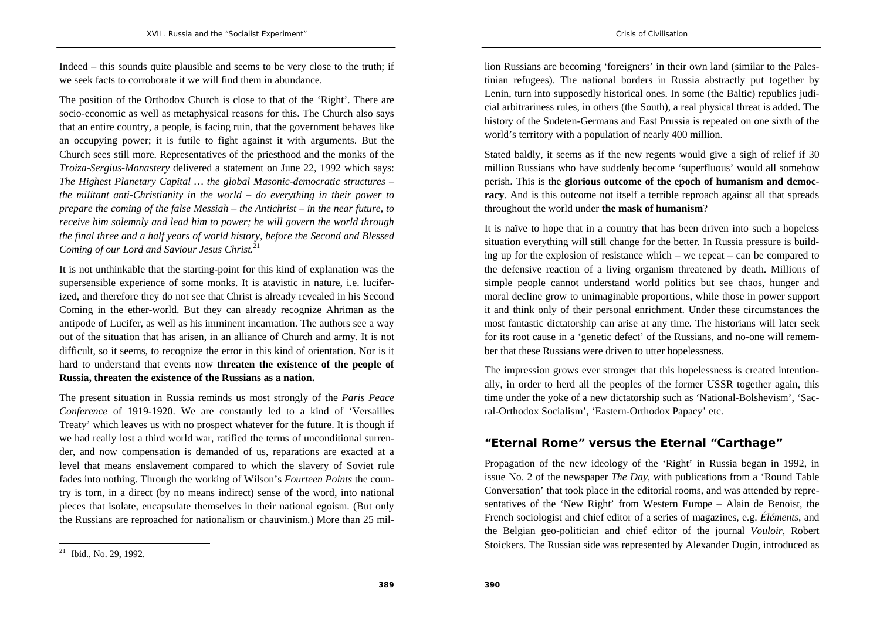Indeed – this sounds quite plausible and seems to be very close to the truth; if we seek facts to corroborate it we will find them in abundance.

The position of the Orthodox Church is close to that of the 'Right'. There are socio-economic as well as metaphysical reasons for this. The Church also says that an entire country, a people, is facing ruin, that the government behaves like an occupying power; it is futile to fight against it with arguments. But the Church sees still more. Representatives of the priesthood and the monks of the *Troiza-Sergius-Monastery* delivered a statement on June 22, 1992 which says: *The Highest Planetary Capital … the global Masonic-democratic structures – the militant anti-Christianity in the world – do everything in their power to prepare the coming of the false Messiah – the Antichrist – in the near future, to receive him solemnly and lead him to power; he will govern the world through the final three and a half years of world history, before the Second and Blessed Coming of our Lord and Saviour Jesus Christ.*<sup>21</sup>

It is not unthinkable that the starting-point for this kind of explanation was the supersensible experience of some monks. It is atavistic in nature, i.e. luciferized, and therefore they do not see that Christ is already revealed in his Second Coming in the ether-world. But they can already recognize Ahriman as the antipode of Lucifer, as well as his imminent incarnation. The authors see a way out of the situation that has arisen, in an alliance of Church and army. It is not difficult, so it seems, to recognize the error in this kind of orientation. Nor is it hard to understand that events now **threaten the existence of the people of Russia, threaten the existence of the Russians as a nation.**

The present situation in Russia reminds us most strongly of the *Paris Peace Conference* of 1919-1920. We are constantly led to a kind of 'Versailles Treaty' which leaves us with no prospect whatever for the future. It is though if we had really lost a third world war, ratified the terms of unconditional surrender, and now compensation is demanded of us, reparations are exacted at a level that means enslavement compared to which the slavery of Soviet rule fades into nothing. Through the working of Wilson's *Fourteen Points* the country is torn, in a direct (by no means indirect) sense of the word, into national pieces that isolate, encapsulate themselves in their national egoism. (But only the Russians are reproached for nationalism or chauvinism.) More than 25 million Russians are becoming 'foreigners' in their own land (similar to the Palestinian refugees). The national borders in Russia abstractly put together by Lenin, turn into supposedly historical ones. In some (the Baltic) republics judicial arbitrariness rules, in others (the South), a real physical threat is added. The history of the Sudeten-Germans and East Prussia is repeated on one sixth of the world's territory with a population of nearly 400 million.

Stated baldly, it seems as if the new regents would give a sigh of relief if 30 million Russians who have suddenly become 'superfluous' would all somehow perish. This is the **glorious outcome of the epoch of humanism and democracy**. And is this outcome not itself a terrible reproach against all that spreads throughout the world under **the mask of humanism**?

It is naïve to hope that in a country that has been driven into such a hopeless situation everything will still change for the better. In Russia pressure is building up for the explosion of resistance which – we repeat – can be compared to the defensive reaction of a living organism threatened by death. Millions of simple people cannot understand world politics but see chaos, hunger and moral decline grow to unimaginable proportions, while those in power support it and think only of their personal enrichment. Under these circumstances the most fantastic dictatorship can arise at any time. The historians will later seek for its root cause in a 'genetic defect' of the Russians, and no-one will remember that these Russians were driven to utter hopelessness.

The impression grows ever stronger that this hopelessness is created intentionally, in order to herd all the peoples of the former USSR together again, this time under the yoke of a new dictatorship such as 'National-Bolshevism', 'Sacral-Orthodox Socialism', 'Eastern-Orthodox Papacy' etc.

## **"Eternal Rome" versus the Eternal "Carthage"**

Propagation of the new ideology of the 'Right' in Russia began in 1992, in issue No. 2 of the newspaper *The Day*, with publications from a 'Round Table Conversation' that took place in the editorial rooms, and was attended by representatives of the 'New Right' from Western Europe – Alain de Benoist, the French sociologist and chief editor of a series of magazines, e.g. *Éléments*, and the Belgian geo-politician and chief editor of the journal *Vouloir*, Robert Stoickers. The Russian side was represented by Alexander Dugin, introduced as

 $21$  Ibid., No. 29, 1992.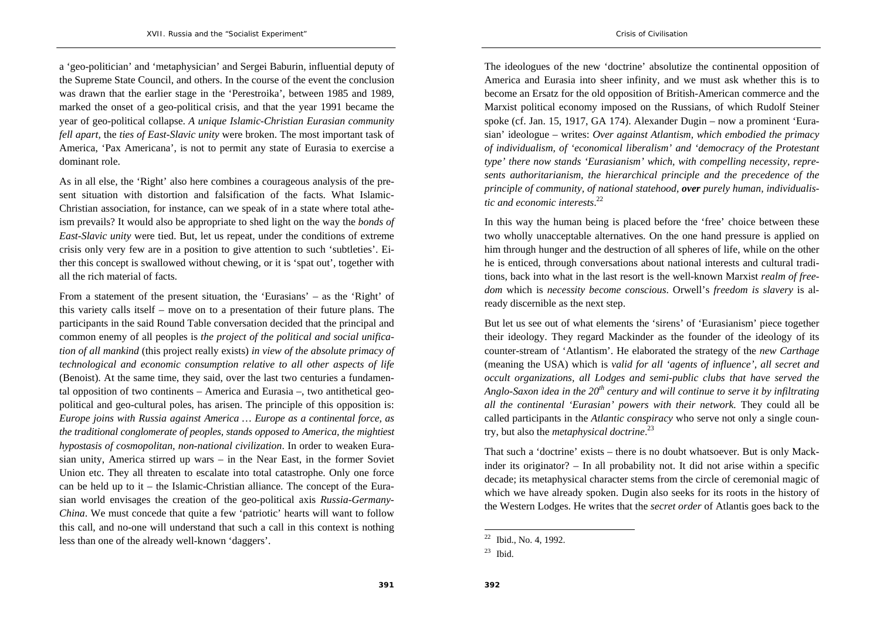<sup>a</sup>'geo-politician' and 'metaphysician' and Sergei Baburin, influential deputy of the Supreme State Council, and others. In the course of the event the conclusion was drawn that the earlier stage in the 'Perestroika', between 1985 and 1989, marked the onset of a geo-political crisis, and that the year 1991 became the year of geo-political collapse. *A unique Islamic-Christian Eurasian community fell apart,* the *ties of East-Slavic unity* were broken. The most important task of America, 'Pax Americana', is not to permit any state of Eurasia to exercise a dominant role.

As in all else, the 'Right' also here combines a courageous analysis of the present situation with distortion and falsification of the facts. What Islamic-Christian association, for instance, can we speak of in a state where total atheism prevails? It would also be appropriate to shed light on the way the *bonds of East-Slavic unity* were tied. But, let us repeat, under the conditions of extreme crisis only very few are in a position to give attention to such 'subtleties'. Either this concept is swallowed without chewing, or it is 'spat out', together with all the rich material of facts.

From a statement of the present situation, the 'Eurasians' – as the 'Right' of this variety calls itself – move on to a presentation of their future plans. The participants in the said Round Table conversation decided that the principal and common enemy of all peoples is *the project of the political and social unification of all mankind* (this project really exists) *in view of the absolute primacy of technological and economic consumption relative to all other aspects of life* (Benoist). At the same time, they said, over the last two centuries a fundamental opposition of two continents – America and Eurasia –, two antithetical geopolitical and geo-cultural poles, has arisen. The principle of this opposition is: *Europe joins with Russia against America … Europe as a continental force, as the traditional conglomerate of peoples, stands opposed to America, the mightiest hypostasis of cosmopolitan, non-national civilization*. In order to weaken Eurasian unity, America stirred up wars – in the Near East, in the former Soviet Union etc. They all threaten to escalate into total catastrophe. Only one force can be held up to it – the Islamic-Christian alliance. The concept of the Eurasian world envisages the creation of the geo-political axis *Russia-Germany-China*. We must concede that quite a few 'patriotic' hearts will want to follow this call, and no-one will understand that such a call in this context is nothing less than one of the already well-known 'daggers'.

The ideologues of the new 'doctrine' absolutize the continental opposition of America and Eurasia into sheer infinity, and we must ask whether this is to become an Ersatz for the old opposition of British-American commerce and the Marxist political economy imposed on the Russians, of which Rudolf Steiner spoke (cf. Jan. 15, 1917, GA 174). Alexander Dugin – now a prominent 'Eurasian' ideologue – writes: *Over against Atlantism, which embodied the primacy of individualism, of 'economical liberalism' and 'democracy of the Protestant type' there now stands 'Eurasianism' which, with compelling necessity, represents authoritarianism, the hierarchical principle and the precedence of the principle of community, of national statehood, over purely human, individualistic and economic interests*.<sup>22</sup>

In this way the human being is placed before the 'free' choice between these two wholly unacceptable alternatives. On the one hand pressure is applied on him through hunger and the destruction of all spheres of life, while on the other he is enticed, through conversations about national interests and cultural traditions, back into what in the last resort is the well-known Marxist *realm of freedom* which is *necessity become conscious*. Orwell's *freedom is slavery* is already discernible as the next step.

But let us see out of what elements the 'sirens' of 'Eurasianism' piece together their ideology. They regard Mackinder as the founder of the ideology of its counter-stream of 'Atlantism'. He elaborated the strategy of the *new Carthage* (meaning the USA) which is *valid for all 'agents of influence', all secret and occult organizations, all Lodges and semi-public clubs that have served the Anglo-Saxon idea in the 20th century and will continue to serve it by infiltrating all the continental 'Eurasian' powers with their network.* They could all be called participants in the *Atlantic conspiracy* who serve not only a single country, but also the *metaphysical doctrine*.<sup>23</sup>

That such a 'doctrine' exists – there is no doubt whatsoever. But is only Mackinder its originator? – In all probability not. It did not arise within a specific decade; its metaphysical character stems from the circle of ceremonial magic of which we have already spoken. Dugin also seeks for its roots in the history of the Western Lodges. He writes that the *secret order* of Atlantis goes back to the

<sup>22</sup> Ibid., No. 4, 1992.

 $23$  Ibid.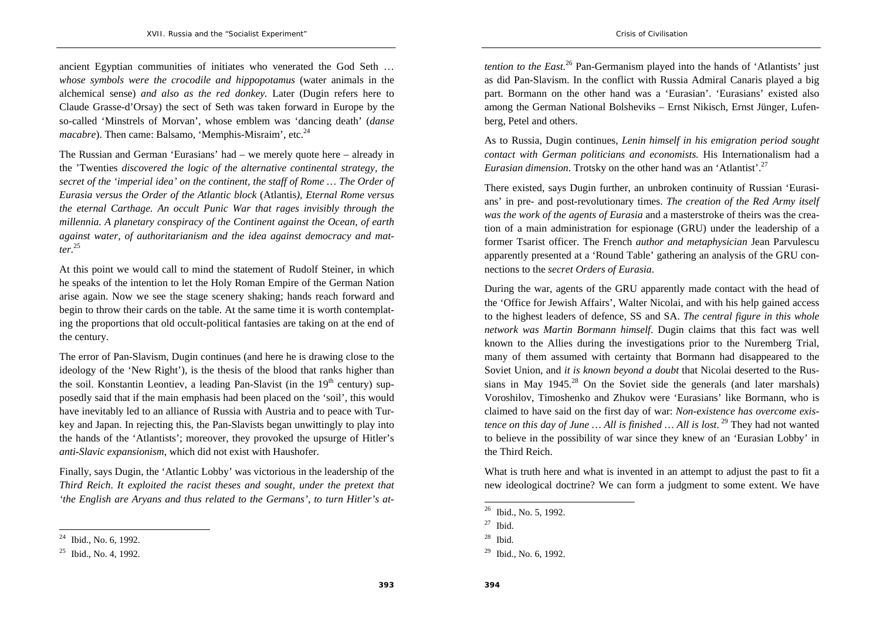ancient Egyptian communities of initiates who venerated the God Seth … *whose symbols were the crocodile and hippopotamus* (water animals in the alchemical sense) *and also as the red donkey.* Later (Dugin refers here to Claude Grasse-d'Orsay) the sect of Seth was taken forward in Europe by the so-called 'Minstrels of Morvan', whose emblem was 'dancing death' (*danse macabre*). Then came: Balsamo, 'Memphis-Misraim', etc.<sup>24</sup>

The Russian and German 'Eurasians' had – we merely quote here – already in the 'Twenties *discovered the logic of the alternative continental strategy, the secret of the 'imperial idea' on the continent, the staff of Rome … The Order of Eurasia versus the Order of the Atlantic block* (Atlantis*), Eternal Rome versus the eternal Carthage. An occult Punic War that rages invisibly through the millennia. A planetary conspiracy of the Continent against the Ocean, of earth against water, of authoritarianism and the idea against democracy and matter.*<sup>25</sup>

At this point we would call to mind the statement of Rudolf Steiner, in which he speaks of the intention to let the Holy Roman Empire of the German Nation arise again. Now we see the stage scenery shaking; hands reach forward and begin to throw their cards on the table. At the same time it is worth contemplating the proportions that old occult-political fantasies are taking on at the end of the century.

The error of Pan-Slavism, Dugin continues (and here he is drawing close to the ideology of the 'New Right'), is the thesis of the blood that ranks higher than the soil. Konstantin Leontiev, a leading Pan-Slavist (in the  $19<sup>th</sup>$  century) supposedly said that if the main emphasis had been placed on the 'soil', this would have inevitably led to an alliance of Russia with Austria and to peace with Turkey and Japan. In rejecting this, the Pan-Slavists began unwittingly to play into the hands of the 'Atlantists'; moreover, they provoked the upsurge of Hitler's *anti-Slavic expansionism*, which did not exist with Haushofer.

Finally, says Dugin, the 'Atlantic Lobby' was victorious in the leadership of the *Third Reich*. *It exploited the racist theses and sought, under the pretext that 'the English are Aryans and thus related to the Germans', to turn Hitler's at-* *tention to the East.*<sup>26</sup> Pan-Germanism played into the hands of 'Atlantists' just as did Pan-Slavism. In the conflict with Russia Admiral Canaris played a big part. Bormann on the other hand was a 'Eurasian'. 'Eurasians' existed also among the German National Bolsheviks – Ernst Nikisch, Ernst Jünger, Lufenberg, Petel and others.

As to Russia, Dugin continues, *Lenin himself in his emigration period sought contact with German politicians and economists.* His Internationalism had a *Eurasian dimension.* Trotsky on the other hand was an 'Atlantist'.<sup>27</sup>

There existed, says Dugin further, an unbroken continuity of Russian 'Eurasians' in pre- and post-revolutionary times. *The creation of the Red Army itself was the work of the agents of Eurasia* and a masterstroke of theirs was the creation of a main administration for espionage (GRU) under the leadership of a former Tsarist officer. The French *author and metaphysician* Jean Parvulescu apparently presented at a 'Round Table' gathering an analysis of the GRU connections to the *secret Orders of Eurasia*.

During the war, agents of the GRU apparently made contact with the head of the 'Office for Jewish Affairs', Walter Nicolai, and with his help gained access to the highest leaders of defence, SS and SA. *The central figure in this whole network was Martin Bormann himself*. Dugin claims that this fact was well known to the Allies during the investigations prior to the Nuremberg Trial, many of them assumed with certainty that Bormann had disappeared to the Soviet Union, and *it is known beyond a doubt* that Nicolai deserted to the Russians in May  $1945<sup>28</sup>$  On the Soviet side the generals (and later marshals) Voroshilov, Timoshenko and Zhukov were 'Eurasians' like Bormann, who is claimed to have said on the first day of war: *Non-existence has overcome existence on this day of June ... All is finished ... All is lost.* <sup>29</sup> They had not wanted to believe in the possibility of war since they knew of an 'Eurasian Lobby' in the Third Reich.

What is truth here and what is invented in an attempt to adjust the past to fit a new ideological doctrine? We can form a judgment to some extent. We have

Ibid., No. 6, 1992.

<sup>25</sup> Ibid., No. 4, 1992.

<sup>26</sup> Ibid., No. 5, 1992.

 $27$  Ibid.

 $28$  Ibid.

<sup>29</sup> Ibid., No. 6, 1992.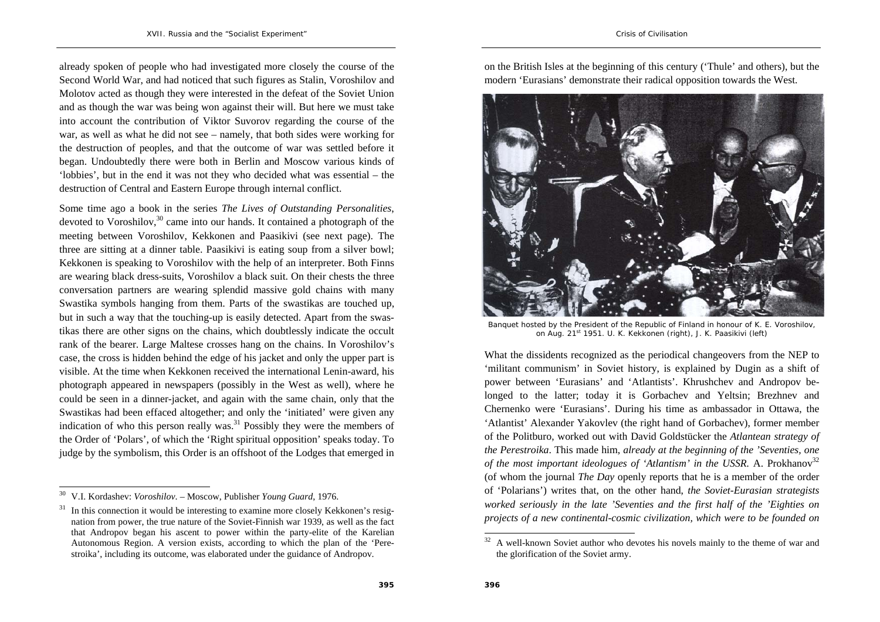already spoken of people who had investigated more closely the course of the Second World War, and had noticed that such figures as Stalin, Voroshilov and Molotov acted as though they were interested in the defeat of the Soviet Union and as though the war was being won against their will. But here we must take into account the contribution of Viktor Suvorov regarding the course of the war, as well as what he did not see – namely, that both sides were working for the destruction of peoples, and that the outcome of war was settled before it began. Undoubtedly there were both in Berlin and Moscow various kinds of 'lobbies', but in the end it was not they who decided what was essential – the destruction of Central and Eastern Europe through internal conflict.

Some time ago a book in the series *The Lives of Outstanding Personalities*, devoted to Voroshilov, $30$  came into our hands. It contained a photograph of the meeting between Voroshilov, Kekkonen and Paasikivi (see next page). The three are sitting at a dinner table. Paasikivi is eating soup from a silver bowl; Kekkonen is speaking to Voroshilov with the help of an interpreter. Both Finns are wearing black dress-suits, Voroshilov a black suit. On their chests the three conversation partners are wearing splendid massive gold chains with many Swastika symbols hanging from them. Parts of the swastikas are touched up, but in such a way that the touching-up is easily detected. Apart from the swastikas there are other signs on the chains, which doubtlessly indicate the occult rank of the bearer. Large Maltese crosses hang on the chains. In Voroshilov's case, the cross is hidden behind the edge of his jacket and only the upper part is visible. At the time when Kekkonen received the international Lenin-award, his photograph appeared in newspapers (possibly in the West as well), where he could be seen in a dinner-jacket, and again with the same chain, only that the Swastikas had been effaced altogether; and only the 'initiated' were given any indication of who this person really was.<sup>31</sup> Possibly they were the members of the Order of 'Polars', of which the 'Right spiritual opposition' speaks today. To judge by the symbolism, this Order is an offshoot of the Lodges that emerged in

on the British Isles at the beginning of this century ('Thule' and others), but the modern 'Eurasians' demonstrate their radical opposition towards the West.



Banquet hosted by the President of the Republic of Finland in honour of K. E. Voroshilov, on Aug. 21st 1951. U. K. Kekkonen (right), J. K. Paasikivi (left)

What the dissidents recognized as the periodical changeovers from the NEP to 'militant communism' in Soviet history, is explained by Dugin as a shift of power between 'Eurasians' and 'Atlantists'. Khrushchev and Andropov belonged to the latter; today it is Gorbachev and Yeltsin; Brezhnev and Chernenko were 'Eurasians'. During his time as ambassador in Ottawa, the 'Atlantist' Alexander Yakovlev (the right hand of Gorbachev), former member of the Politburo, worked out with David Goldstücker the *Atlantean strategy of the Perestroika*. This made him, *already at the beginning of the 'Seventies, one of the most important ideologues of 'Atlantism' in the USSR.* A. Prokhanov<sup>32</sup> (of whom the journal *The Day* openly reports that he is a member of the order of 'Polarians') writes that, on the other hand, *the Soviet-Eurasian strategists worked seriously in the late 'Seventies and the first half of the 'Eighties on projects of a new continental-cosmic civilization, which were to be founded on* 

<sup>30</sup> V.I. Kordashev: *Voroshilov*. – Moscow, Publisher *Young Guard*, 1976.

 $31$  In this connection it would be interesting to examine more closely Kekkonen's resignation from power, the true nature of the Soviet-Finnish war 1939, as well as the fact that Andropov began his ascent to power within the party-elite of the Karelian Autonomous Region. A version exists, according to which the plan of the 'Perestroika', including its outcome, was elaborated under the guidance of Andropov.

<sup>32</sup> A well-known Soviet author who devotes his novels mainly to the theme of war and the glorification of the Soviet army.